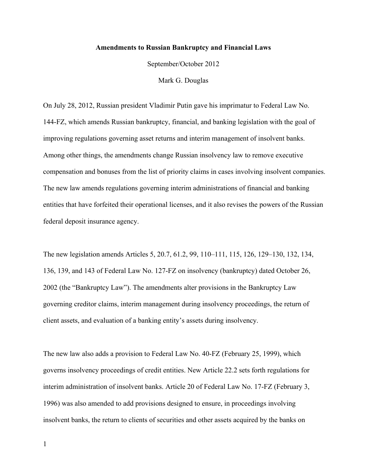## **Amendments to Russian Bankruptcy and Financial Laws**

September/October 2012

Mark G. Douglas

On July 28, 2012, Russian president Vladimir Putin gave his imprimatur to Federal Law No. 144-FZ, which amends Russian bankruptcy, financial, and banking legislation with the goal of improving regulations governing asset returns and interim management of insolvent banks. Among other things, the amendments change Russian insolvency law to remove executive compensation and bonuses from the list of priority claims in cases involving insolvent companies. The new law amends regulations governing interim administrations of financial and banking entities that have forfeited their operational licenses, and it also revises the powers of the Russian federal deposit insurance agency.

The new legislation amends Articles 5, 20.7, 61.2, 99, 110–111, 115, 126, 129–130, 132, 134, 136, 139, and 143 of Federal Law No. 127-FZ on insolvency (bankruptcy) dated October 26, 2002 (the "Bankruptcy Law"). The amendments alter provisions in the Bankruptcy Law governing creditor claims, interim management during insolvency proceedings, the return of client assets, and evaluation of a banking entity's assets during insolvency.

The new law also adds a provision to Federal Law No. 40-FZ (February 25, 1999), which governs insolvency proceedings of credit entities. New Article 22.2 sets forth regulations for interim administration of insolvent banks. Article 20 of Federal Law No. 17-FZ (February 3, 1996) was also amended to add provisions designed to ensure, in proceedings involving insolvent banks, the return to clients of securities and other assets acquired by the banks on

1